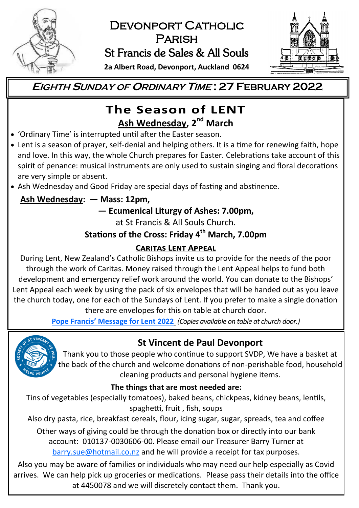

# DEVONPORT CATHOLIC **PARISH** St Francis de Sales & All Souls



**2a Albert Road, Devonport, Auckland 0624**

# **EIGHTH <sup>S</sup>UNDAY OF <sup>O</sup>RDINARY <sup>T</sup>IME : 27 FEBRUARY 2022**

# The Season of LENT **Ash Wednesday, 2nd March**

- 'Ordinary Time' is interrupted until after the Easter season.
- Lent is a season of prayer, self-denial and helping others. It is a time for renewing faith, hope and love. In this way, the whole Church prepares for Easter. Celebrations take account of this spirit of penance: musical instruments are only used to sustain singing and floral decorations are very simple or absent.
- Ash Wednesday and Good Friday are special days of fasting and abstinence.

## **Ash Wednesday: — Mass: 12pm,**

## **— Ecumenical Liturgy of Ashes: 7.00pm,**

at St Francis & All Souls Church.

# **Stations of the Cross: Friday 4th March, 7.00pm**

### **CARITAS LENT APPEAL**

During Lent, New Zealand's Catholic Bishops invite us to provide for the needs of the poor through the work of Caritas. Money raised through the Lent Appeal helps to fund both development and emergency relief work around the world. You can donate to the Bishops' Lent Appeal each week by using the pack of six envelopes that will be handed out as you leave the church today, one for each of the Sundays of Lent. If you prefer to make a single donation there are envelopes for this on table at church door.

**Pope Francis' [Message for Lent 2022](https://www.vatican.va/content/francesco/en/events/event.dir.html/content/vaticanevents/en/2022/2/24/messaggio-quaresima.html)** *(Copies available on table at church door.)*



# **St Vincent de Paul Devonport**

Thank you to those people who continue to support SVDP, We have a basket at the back of the church and welcome donations of non-perishable food, household cleaning products and personal hygiene items.

### **The things that are most needed are:**

Tins of vegetables (especially tomatoes), baked beans, chickpeas, kidney beans, lentils, spaghetti, fruit , fish, soups

Also dry pasta, rice, breakfast cereals, flour, icing sugar, sugar, spreads, tea and coffee Other ways of giving could be through the donation box or directly into our bank account: 010137-0030606-00. Please email our Treasurer Barry Turner at [barry.sue@hotmail.co.nz](mailto:barry.sue@hotmail.co.nz) and he will provide a receipt for tax purposes.

Also you may be aware of families or individuals who may need our help especially as Covid arrives. We can help pick up groceries or medications. Please pass their details into the office at 4450078 and we will discretely contact them. Thank you.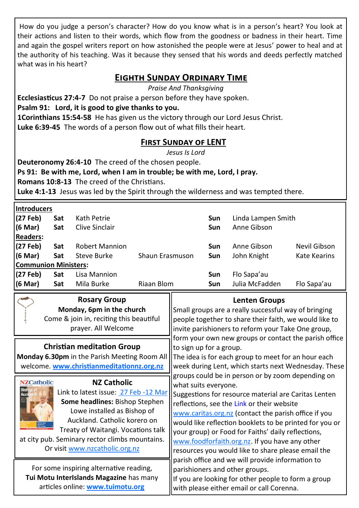How do you judge a person's character? How do you know what is in a person's heart? You look at their actions and listen to their words, which flow from the goodness or badness in their heart. Time and again the gospel writers report on how astonished the people were at Jesus' power to heal and at the authority of his teaching. Was it because they sensed that his words and deeds perfectly matched what was in his heart?

### **Eighth Sunday Ordinary Time**

*Praise And Thanksgiving*

**Ecclesiasticus 27:4-7** Do not praise a person before they have spoken.

**Psalm 91: Lord, it is good to give thanks to you.**

**1Corinthians 15:54-58** He has given us the victory through our Lord Jesus Christ. **Luke 6:39-45** The words of a person flow out of what fills their heart.

### **First Sunday of LENT**

*Jesus Is Lord*

**Deuteronomy 26:4-10** The creed of the chosen people.

**Rosary Group** 

**Ps 91: Be with me, Lord, when I am in trouble; be with me, Lord, I pray.**

**Romans 10:8-13** The creed of the Christians.

**Luke 4:1-13** Jesus was led by the Spirit through the wilderness and was tempted there.

|  |  |  |  | <b>Introducers</b> |  |
|--|--|--|--|--------------------|--|
|  |  |  |  |                    |  |

| (27 Feb)<br>Kath Petrie<br>Linda Lampen Smith<br>Sat<br>Sun                            |  |  |  |  |  |  |  |  |  |
|----------------------------------------------------------------------------------------|--|--|--|--|--|--|--|--|--|
|                                                                                        |  |  |  |  |  |  |  |  |  |
| (6 Mar)<br>Sat<br>Clive Sinclair<br>Anne Gibson<br>Sun                                 |  |  |  |  |  |  |  |  |  |
| <b>Readers:</b>                                                                        |  |  |  |  |  |  |  |  |  |
| (27 Feb)<br>Sat<br><b>Robert Mannion</b><br>Anne Gibson<br>Nevil Gibson<br>Sun         |  |  |  |  |  |  |  |  |  |
| (6 Mar)<br>Sat<br>Shaun Erasmuson<br>John Knight<br>Kate Kearins<br>Steve Burke<br>Sun |  |  |  |  |  |  |  |  |  |
| <b>Communion Ministers:</b>                                                            |  |  |  |  |  |  |  |  |  |
| (27 Feb)<br>Flo Sapa'au<br>Lisa Mannion<br>Sat<br>Sun                                  |  |  |  |  |  |  |  |  |  |
| (6 Mar)<br>Julia McFadden<br>Riaan Blom<br>Flo Sapa'au<br>Sat<br>Mila Burke<br>Sun     |  |  |  |  |  |  |  |  |  |

 $\parallel$ 

#### **Lenten Groups**

| Monday, 6pm in the church<br>Come & join in, reciting this beautiful<br>prayer. All Welcome                                                                                                                                                                                                                                    | Small groups are a really successful way of bringing<br>people together to share their faith, we would like to<br>invite parishioners to reform your Take One group,                                                                                                                                                                                                                                                                                                                                                                                                                                                                                                                                                                                                                                                                                          |
|--------------------------------------------------------------------------------------------------------------------------------------------------------------------------------------------------------------------------------------------------------------------------------------------------------------------------------|---------------------------------------------------------------------------------------------------------------------------------------------------------------------------------------------------------------------------------------------------------------------------------------------------------------------------------------------------------------------------------------------------------------------------------------------------------------------------------------------------------------------------------------------------------------------------------------------------------------------------------------------------------------------------------------------------------------------------------------------------------------------------------------------------------------------------------------------------------------|
| <b>Christian meditation Group</b><br>Monday 6.30pm in the Parish Meeting Room All<br>welcome. www.christianmeditationnz.org.nz                                                                                                                                                                                                 | form your own new groups or contact the parish office<br>to sign up for a group.<br>The idea is for each group to meet for an hour each<br>week during Lent, which starts next Wednesday. These<br>groups could be in person or by zoom depending on<br>what suits everyone.<br>Suggestions for resource material are Caritas Lenten<br>reflections, see the Link or their website<br>www.caritas.org.nz (contact the parish office if you<br>would like reflection booklets to be printed for you or<br>your group) or Food for Faiths' daily reflections,<br>www.foodforfaith.org.nz. If you have any other<br>resources you would like to share please email the<br>parish office and we will provide information to<br>parishioners and other groups.<br>If you are looking for other people to form a group<br>with please either email or call Corenna. |
| <b>NZCatholic</b><br><b>NZ Catholic</b><br><b>Bishop of</b><br>Link to latest issue: 27 Feb -12 Mar<br>Some headlines: Bishop Stephen<br>Lowe installed as Bishop of<br>Auckland. Catholic korero on<br>Treaty of Waitangi. Vocations talk<br>at city pub. Seminary rector climbs mountains.<br>Or visit www.nzcatholic.org.nz |                                                                                                                                                                                                                                                                                                                                                                                                                                                                                                                                                                                                                                                                                                                                                                                                                                                               |
| For some inspiring alternative reading,<br>Tui Motu Interislands Magazine has many<br>articles online: www.tuimotu.org                                                                                                                                                                                                         |                                                                                                                                                                                                                                                                                                                                                                                                                                                                                                                                                                                                                                                                                                                                                                                                                                                               |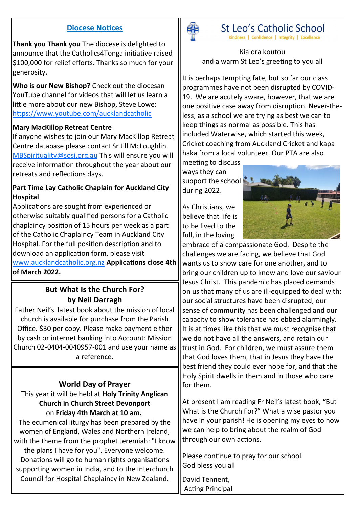#### **Diocese Notices**

**Thank you Thank you** The diocese is delighted to announce that the Catholics4Tonga initiative raised \$100,000 for relief efforts. Thanks so much for your generosity.

**Who is our New Bishop?** Check out the diocesan YouTube channel for videos that will let us learn a little more about our new Bishop, Steve Lowe: <https://www.youtube.com/aucklandcatholic>

#### **Mary MacKillop Retreat Centre**

If anyone wishes to join our Mary MacKillop Retreat Centre database please contact Sr Jill McLoughlin [MBSpirituality@sosj.org.au](mailto:MBSpirituality@sosj.org.au) This will ensure you will receive information throughout the year about our retreats and reflections days.

#### **Part Time Lay Catholic Chaplain for Auckland City Hospital**

Applications are sought from experienced or otherwise suitably qualified persons for a Catholic chaplaincy position of 15 hours per week as a part of the Catholic Chaplaincy Team in Auckland City Hospital. For the full position description and to download an application form, please visit [www.aucklandcatholic.org.nz](http://www.aucklandcatholic.org.nz) **Applications close 4th of March 2022.**

### **But What Is the Church For? by Neil Darragh**

Father Neil's latest book about the mission of local church is available for purchase from the Parish Office. \$30 per copy. Please make payment either by cash or internet banking into Account: Mission Church 02-0404-0040957-001 and use your name as a reference.

#### **World Day of Prayer**

This year it will be held at **Holy Trinity Anglican Church in Church Street Devonport**  on **Friday 4th March at 10 am.**

The ecumenical liturgy has been prepared by the women of England, Wales and Northern Ireland, with the theme from the prophet Jeremiah: "I know the plans I have for you". Everyone welcome. Donations will go to human rights organisations supporting women in India, and to the Interchurch Council for Hospital Chaplaincy in New Zealand.



# St Leo's Catholic School

Kindness | Confidence | Integrity | Excellence

Kia ora koutou and a warm St Leo's greeting to you all

It is perhaps tempting fate, but so far our class programmes have not been disrupted by COVID-19. We are acutely aware, however, that we are one positive case away from disruption. Never-theless, as a school we are trying as best we can to keep things as normal as possible. This has included Waterwise, which started this week, Cricket coaching from Auckland Cricket and kapa haka from a local volunteer. Our PTA are also

meeting to discuss ways they can support the school  $\mathbb{R}$ . during 2022.

As Christians, we believe that life is to be lived to the full, in the loving



embrace of a compassionate God. Despite the challenges we are facing, we believe that God wants us to show care for one another, and to bring our children up to know and love our saviour Jesus Christ. This pandemic has placed demands on us that many of us are ill-equipped to deal with; our social structures have been disrupted, our sense of community has been challenged and our capacity to show tolerance has ebbed alarmingly. It is at times like this that we must recognise that we do not have all the answers, and retain our trust in God. For children, we must assure them that God loves them, that in Jesus they have the best friend they could ever hope for, and that the Holy Spirit dwells in them and in those who care for them.

At present I am reading Fr Neil's latest book, "But What is the Church For?" What a wise pastor you have in your parish! He is opening my eyes to how we can help to bring about the realm of God through our own actions.

Please continue to pray for our school. God bless you all

David Tennent, Acting Principal